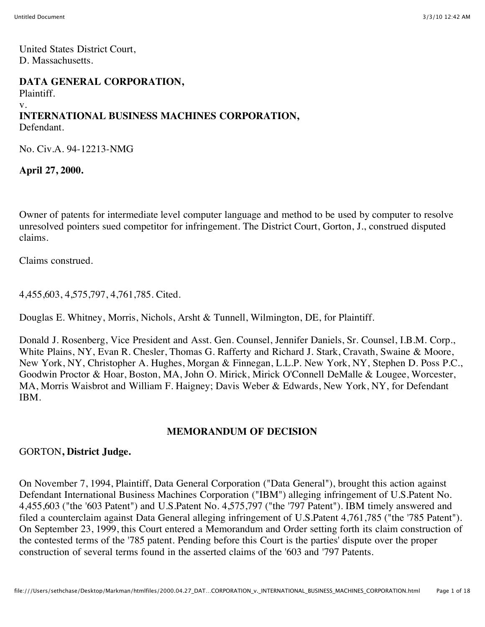United States District Court, D. Massachusetts.

#### **DATA GENERAL CORPORATION,** Plaintiff. v. **INTERNATIONAL BUSINESS MACHINES CORPORATION,** Defendant.

No. Civ.A. 94-12213-NMG

**April 27, 2000.**

Owner of patents for intermediate level computer language and method to be used by computer to resolve unresolved pointers sued competitor for infringement. The District Court, Gorton, J., construed disputed claims.

Claims construed.

4,455,603, 4,575,797, 4,761,785. Cited.

Douglas E. Whitney, Morris, Nichols, Arsht & Tunnell, Wilmington, DE, for Plaintiff.

Donald J. Rosenberg, Vice President and Asst. Gen. Counsel, Jennifer Daniels, Sr. Counsel, I.B.M. Corp., White Plains, NY, Evan R. Chesler, Thomas G. Rafferty and Richard J. Stark, Cravath, Swaine & Moore, New York, NY, Christopher A. Hughes, Morgan & Finnegan, L.L.P. New York, NY, Stephen D. Poss P.C., Goodwin Proctor & Hoar, Boston, MA, John O. Mirick, Mirick O'Connell DeMalle & Lougee, Worcester, MA, Morris Waisbrot and William F. Haigney; Davis Weber & Edwards, New York, NY, for Defendant IBM.

#### **MEMORANDUM OF DECISION**

#### GORTON**, District Judge.**

On November 7, 1994, Plaintiff, Data General Corporation ("Data General"), brought this action against Defendant International Business Machines Corporation ("IBM") alleging infringement of U.S.Patent No. 4,455,603 ("the '603 Patent") and U.S.Patent No. 4,575,797 ("the '797 Patent"). IBM timely answered and filed a counterclaim against Data General alleging infringement of U.S.Patent 4,761,785 ("the '785 Patent"). On September 23, 1999, this Court entered a Memorandum and Order setting forth its claim construction of the contested terms of the '785 patent. Pending before this Court is the parties' dispute over the proper construction of several terms found in the asserted claims of the '603 and '797 Patents.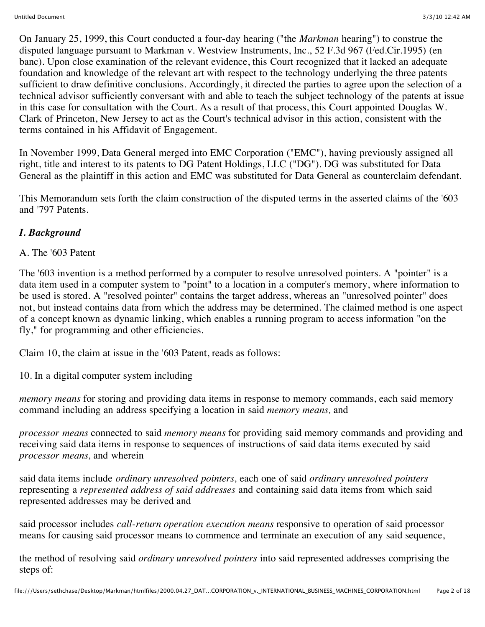On January 25, 1999, this Court conducted a four-day hearing ("the *Markman* hearing") to construe the disputed language pursuant to Markman v. Westview Instruments, Inc., 52 F.3d 967 (Fed.Cir.1995) (en banc). Upon close examination of the relevant evidence, this Court recognized that it lacked an adequate foundation and knowledge of the relevant art with respect to the technology underlying the three patents sufficient to draw definitive conclusions. Accordingly, it directed the parties to agree upon the selection of a technical advisor sufficiently conversant with and able to teach the subject technology of the patents at issue in this case for consultation with the Court. As a result of that process, this Court appointed Douglas W. Clark of Princeton, New Jersey to act as the Court's technical advisor in this action, consistent with the terms contained in his Affidavit of Engagement.

In November 1999, Data General merged into EMC Corporation ("EMC"), having previously assigned all right, title and interest to its patents to DG Patent Holdings, LLC ("DG"). DG was substituted for Data General as the plaintiff in this action and EMC was substituted for Data General as counterclaim defendant.

This Memorandum sets forth the claim construction of the disputed terms in the asserted claims of the '603 and '797 Patents.

## *I. Background*

#### A. The '603 Patent

The '603 invention is a method performed by a computer to resolve unresolved pointers. A "pointer" is a data item used in a computer system to "point" to a location in a computer's memory, where information to be used is stored. A "resolved pointer" contains the target address, whereas an "unresolved pointer" does not, but instead contains data from which the address may be determined. The claimed method is one aspect of a concept known as dynamic linking, which enables a running program to access information "on the fly," for programming and other efficiencies.

Claim 10, the claim at issue in the '603 Patent, reads as follows:

10. In a digital computer system including

*memory means* for storing and providing data items in response to memory commands, each said memory command including an address specifying a location in said *memory means,* and

*processor means* connected to said *memory means* for providing said memory commands and providing and receiving said data items in response to sequences of instructions of said data items executed by said *processor means,* and wherein

said data items include *ordinary unresolved pointers,* each one of said *ordinary unresolved pointers* representing a *represented address of said addresses* and containing said data items from which said represented addresses may be derived and

said processor includes *call-return operation execution means* responsive to operation of said processor means for causing said processor means to commence and terminate an execution of any said sequence,

the method of resolving said *ordinary unresolved pointers* into said represented addresses comprising the steps of: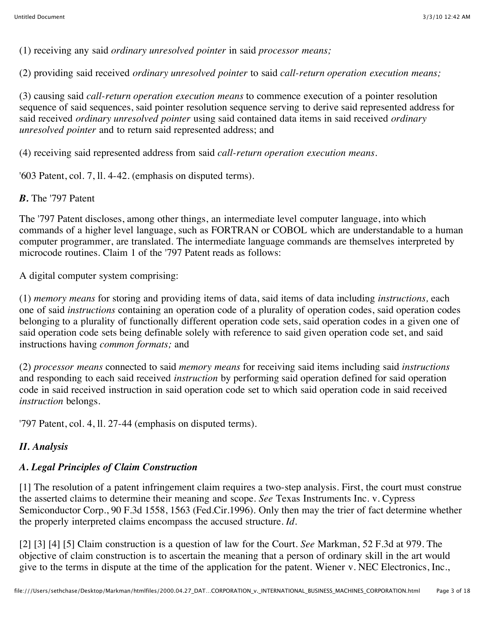(1) receiving any said *ordinary unresolved pointer* in said *processor means;*

(2) providing said received *ordinary unresolved pointer* to said *call-return operation execution means;*

(3) causing said *call-return operation execution means* to commence execution of a pointer resolution sequence of said sequences, said pointer resolution sequence serving to derive said represented address for said received *ordinary unresolved pointer* using said contained data items in said received *ordinary unresolved pointer* and to return said represented address; and

(4) receiving said represented address from said *call-return operation execution means.*

'603 Patent, col. 7, ll. 4-42. (emphasis on disputed terms).

*B.* The '797 Patent

The '797 Patent discloses, among other things, an intermediate level computer language, into which commands of a higher level language, such as FORTRAN or COBOL which are understandable to a human computer programmer, are translated. The intermediate language commands are themselves interpreted by microcode routines. Claim 1 of the '797 Patent reads as follows:

A digital computer system comprising:

(1) *memory means* for storing and providing items of data, said items of data including *instructions,* each one of said *instructions* containing an operation code of a plurality of operation codes, said operation codes belonging to a plurality of functionally different operation code sets, said operation codes in a given one of said operation code sets being definable solely with reference to said given operation code set, and said instructions having *common formats;* and

(2) *processor means* connected to said *memory means* for receiving said items including said *instructions* and responding to each said received *instruction* by performing said operation defined for said operation code in said received instruction in said operation code set to which said operation code in said received *instruction* belongs.

'797 Patent, col. 4, ll. 27-44 (emphasis on disputed terms).

## *II. Analysis*

# *A. Legal Principles of Claim Construction*

[1] The resolution of a patent infringement claim requires a two-step analysis. First, the court must construe the asserted claims to determine their meaning and scope. *See* Texas Instruments Inc. v. Cypress Semiconductor Corp., 90 F.3d 1558, 1563 (Fed.Cir.1996). Only then may the trier of fact determine whether the properly interpreted claims encompass the accused structure. *Id.*

[2] [3] [4] [5] Claim construction is a question of law for the Court. *See* Markman, 52 F.3d at 979. The objective of claim construction is to ascertain the meaning that a person of ordinary skill in the art would give to the terms in dispute at the time of the application for the patent. Wiener v. NEC Electronics, Inc.,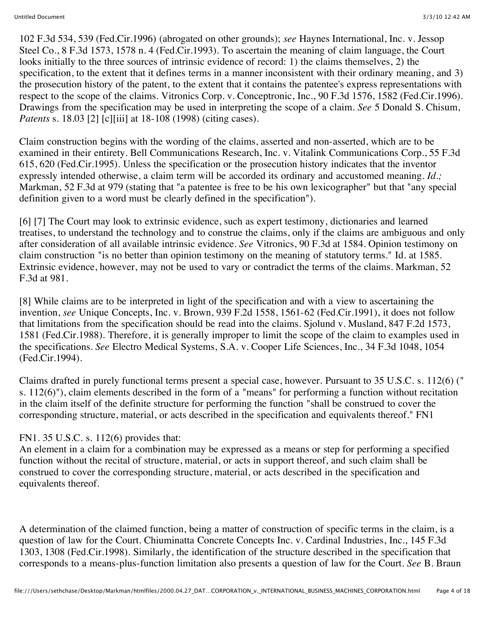102 F.3d 534, 539 (Fed.Cir.1996) (abrogated on other grounds); *see* Haynes International, Inc. v. Jessop Steel Co., 8 F.3d 1573, 1578 n. 4 (Fed.Cir.1993). To ascertain the meaning of claim language, the Court looks initially to the three sources of intrinsic evidence of record: 1) the claims themselves, 2) the specification, to the extent that it defines terms in a manner inconsistent with their ordinary meaning, and 3) the prosecution history of the patent, to the extent that it contains the patentee's express representations with respect to the scope of the claims. Vitronics Corp. v. Conceptronic, Inc., 90 F.3d 1576, 1582 (Fed.Cir.1996). Drawings from the specification may be used in interpreting the scope of a claim. *See* 5 Donald S. Chisum, *Patents* s. 18.03 [2] [c][iii] at 18-108 (1998) (citing cases).

Claim construction begins with the wording of the claims, asserted and non-asserted, which are to be examined in their entirety. Bell Communications Research, Inc. v. Vitalink Communications Corp., 55 F.3d 615, 620 (Fed.Cir.1995). Unless the specification or the prosecution history indicates that the inventor expressly intended otherwise, a claim term will be accorded its ordinary and accustomed meaning. *Id.;* Markman, 52 F.3d at 979 (stating that "a patentee is free to be his own lexicographer" but that "any special definition given to a word must be clearly defined in the specification").

[6] [7] The Court may look to extrinsic evidence, such as expert testimony, dictionaries and learned treatises, to understand the technology and to construe the claims, only if the claims are ambiguous and only after consideration of all available intrinsic evidence. *See* Vitronics, 90 F.3d at 1584. Opinion testimony on claim construction "is no better than opinion testimony on the meaning of statutory terms." Id. at 1585. Extrinsic evidence, however, may not be used to vary or contradict the terms of the claims. Markman, 52 F.3d at 981.

[8] While claims are to be interpreted in light of the specification and with a view to ascertaining the invention, *see* Unique Concepts, Inc. v. Brown, 939 F.2d 1558, 1561-62 (Fed.Cir.1991), it does not follow that limitations from the specification should be read into the claims. Sjolund v. Musland, 847 F.2d 1573, 1581 (Fed.Cir.1988). Therefore, it is generally improper to limit the scope of the claim to examples used in the specifications. *See* Electro Medical Systems, S.A. v. Cooper Life Sciences, Inc., 34 F.3d 1048, 1054 (Fed.Cir.1994).

Claims drafted in purely functional terms present a special case, however. Pursuant to 35 U.S.C. s. 112(6) (" s. 112(6)"), claim elements described in the form of a "means" for performing a function without recitation in the claim itself of the definite structure for performing the function "shall be construed to cover the corresponding structure, material, or acts described in the specification and equivalents thereof." FN1

#### FN1. 35 U.S.C. s. 112(6) provides that:

An element in a claim for a combination may be expressed as a means or step for performing a specified function without the recital of structure, material, or acts in support thereof, and such claim shall be construed to cover the corresponding structure, material, or acts described in the specification and equivalents thereof.

A determination of the claimed function, being a matter of construction of specific terms in the claim, is a question of law for the Court. Chiuminatta Concrete Concepts Inc. v. Cardinal Industries, Inc., 145 F.3d 1303, 1308 (Fed.Cir.1998). Similarly, the identification of the structure described in the specification that corresponds to a means-plus-function limitation also presents a question of law for the Court. *See* B. Braun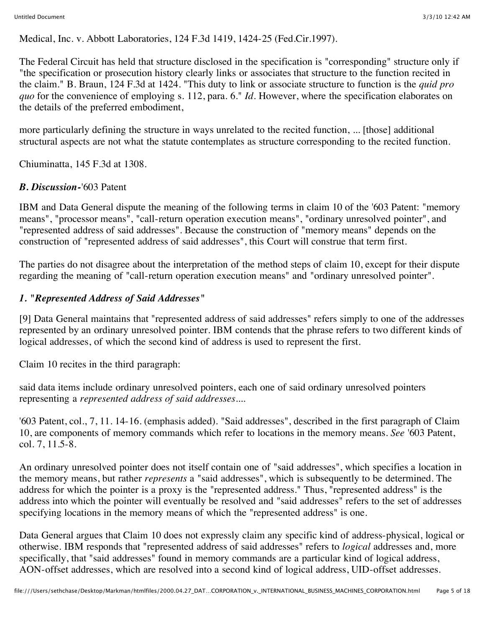Medical, Inc. v. Abbott Laboratories, 124 F.3d 1419, 1424-25 (Fed.Cir.1997).

The Federal Circuit has held that structure disclosed in the specification is "corresponding" structure only if "the specification or prosecution history clearly links or associates that structure to the function recited in the claim." B. Braun, 124 F.3d at 1424. "This duty to link or associate structure to function is the *quid pro quo* for the convenience of employing s. 112, para. 6." *Id.* However, where the specification elaborates on the details of the preferred embodiment,

more particularly defining the structure in ways unrelated to the recited function, ... [those] additional structural aspects are not what the statute contemplates as structure corresponding to the recited function.

Chiuminatta, 145 F.3d at 1308.

## *B. Discussion-*'603 Patent

IBM and Data General dispute the meaning of the following terms in claim 10 of the '603 Patent: "memory means", "processor means", "call-return operation execution means", "ordinary unresolved pointer", and "represented address of said addresses". Because the construction of "memory means" depends on the construction of "represented address of said addresses", this Court will construe that term first.

The parties do not disagree about the interpretation of the method steps of claim 10, except for their dispute regarding the meaning of "call-return operation execution means" and "ordinary unresolved pointer".

### *1. "Represented Address of Said Addresses"*

[9] Data General maintains that "represented address of said addresses" refers simply to one of the addresses represented by an ordinary unresolved pointer. IBM contends that the phrase refers to two different kinds of logical addresses, of which the second kind of address is used to represent the first.

Claim 10 recites in the third paragraph:

said data items include ordinary unresolved pointers, each one of said ordinary unresolved pointers representing a *represented address of said addresses....*

'603 Patent, col., 7, 11. 14-16. (emphasis added). "Said addresses", described in the first paragraph of Claim 10, are components of memory commands which refer to locations in the memory means. *See* '603 Patent, col. 7, 11.5-8.

An ordinary unresolved pointer does not itself contain one of "said addresses", which specifies a location in the memory means, but rather *represents* a "said addresses", which is subsequently to be determined. The address for which the pointer is a proxy is the "represented address." Thus, "represented address" is the address into which the pointer will eventually be resolved and "said addresses" refers to the set of addresses specifying locations in the memory means of which the "represented address" is one.

Data General argues that Claim 10 does not expressly claim any specific kind of address-physical, logical or otherwise. IBM responds that "represented address of said addresses" refers to *logical* addresses and, more specifically, that "said addresses" found in memory commands are a particular kind of logical address, AON-offset addresses, which are resolved into a second kind of logical address, UID-offset addresses.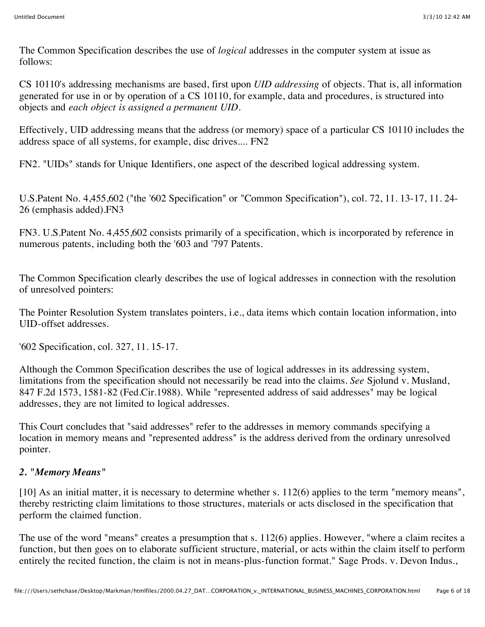The Common Specification describes the use of *logical* addresses in the computer system at issue as follows:

CS 10110's addressing mechanisms are based, first upon *UID addressing* of objects. That is, all information generated for use in or by operation of a CS 10110, for example, data and procedures, is structured into objects and *each object is assigned a permanent UID.*

Effectively, UID addressing means that the address (or memory) space of a particular CS 10110 includes the address space of all systems, for example, disc drives.... FN2

FN2. "UIDs" stands for Unique Identifiers, one aspect of the described logical addressing system.

U.S.Patent No. 4,455,602 ("the '602 Specification" or "Common Specification"), col. 72, 11. 13-17, 11. 24- 26 (emphasis added).FN3

FN3. U.S.Patent No. 4,455,602 consists primarily of a specification, which is incorporated by reference in numerous patents, including both the '603 and '797 Patents.

The Common Specification clearly describes the use of logical addresses in connection with the resolution of unresolved pointers:

The Pointer Resolution System translates pointers, i.e., data items which contain location information, into UID-offset addresses.

'602 Specification, col. 327, 11. 15-17.

Although the Common Specification describes the use of logical addresses in its addressing system, limitations from the specification should not necessarily be read into the claims. *See* Sjolund v. Musland, 847 F.2d 1573, 1581-82 (Fed.Cir.1988). While "represented address of said addresses" may be logical addresses, they are not limited to logical addresses.

This Court concludes that "said addresses" refer to the addresses in memory commands specifying a location in memory means and "represented address" is the address derived from the ordinary unresolved pointer.

#### *2. "Memory Means"*

[10] As an initial matter, it is necessary to determine whether s. 112(6) applies to the term "memory means", thereby restricting claim limitations to those structures, materials or acts disclosed in the specification that perform the claimed function.

The use of the word "means" creates a presumption that s. 112(6) applies. However, "where a claim recites a function, but then goes on to elaborate sufficient structure, material, or acts within the claim itself to perform entirely the recited function, the claim is not in means-plus-function format." Sage Prods. v. Devon Indus.,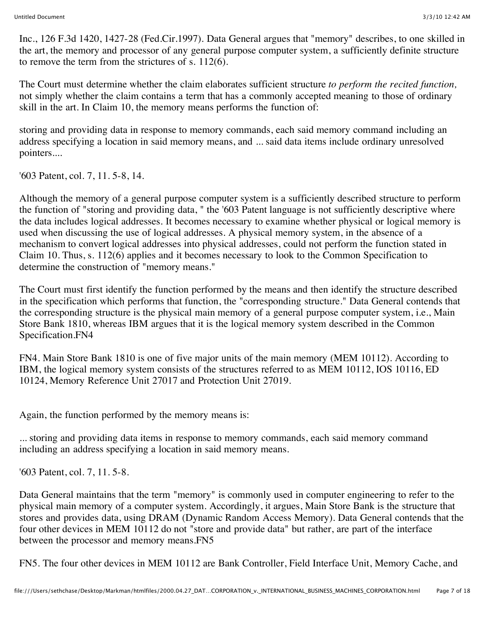Inc., 126 F.3d 1420, 1427-28 (Fed.Cir.1997). Data General argues that "memory" describes, to one skilled in the art, the memory and processor of any general purpose computer system, a sufficiently definite structure to remove the term from the strictures of s. 112(6).

The Court must determine whether the claim elaborates sufficient structure *to perform the recited function,* not simply whether the claim contains a term that has a commonly accepted meaning to those of ordinary skill in the art. In Claim 10, the memory means performs the function of:

storing and providing data in response to memory commands, each said memory command including an address specifying a location in said memory means, and ... said data items include ordinary unresolved pointers....

'603 Patent, col. 7, 11. 5-8, 14.

Although the memory of a general purpose computer system is a sufficiently described structure to perform the function of "storing and providing data, " the '603 Patent language is not sufficiently descriptive where the data includes logical addresses. It becomes necessary to examine whether physical or logical memory is used when discussing the use of logical addresses. A physical memory system, in the absence of a mechanism to convert logical addresses into physical addresses, could not perform the function stated in Claim 10. Thus, s. 112(6) applies and it becomes necessary to look to the Common Specification to determine the construction of "memory means."

The Court must first identify the function performed by the means and then identify the structure described in the specification which performs that function, the "corresponding structure." Data General contends that the corresponding structure is the physical main memory of a general purpose computer system, i.e., Main Store Bank 1810, whereas IBM argues that it is the logical memory system described in the Common Specification.FN4

FN4. Main Store Bank 1810 is one of five major units of the main memory (MEM 10112). According to IBM, the logical memory system consists of the structures referred to as MEM 10112, IOS 10116, ED 10124, Memory Reference Unit 27017 and Protection Unit 27019.

Again, the function performed by the memory means is:

... storing and providing data items in response to memory commands, each said memory command including an address specifying a location in said memory means.

'603 Patent, col. 7, 11. 5-8.

Data General maintains that the term "memory" is commonly used in computer engineering to refer to the physical main memory of a computer system. Accordingly, it argues, Main Store Bank is the structure that stores and provides data, using DRAM (Dynamic Random Access Memory). Data General contends that the four other devices in MEM 10112 do not "store and provide data" but rather, are part of the interface between the processor and memory means.FN5

FN5. The four other devices in MEM 10112 are Bank Controller, Field Interface Unit, Memory Cache, and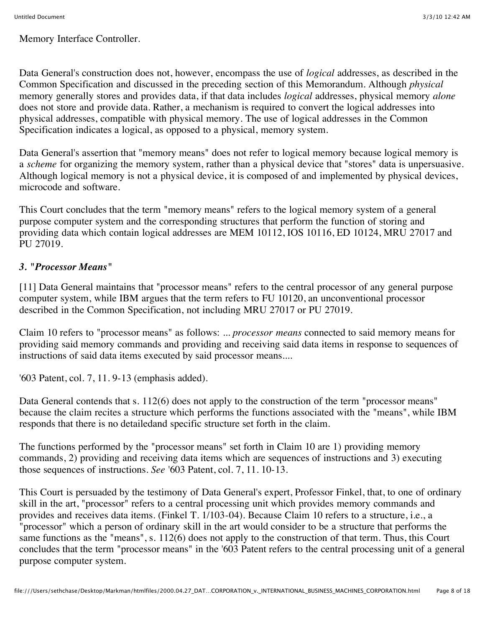Memory Interface Controller.

Data General's construction does not, however, encompass the use of *logical* addresses, as described in the Common Specification and discussed in the preceding section of this Memorandum. Although *physical* memory generally stores and provides data, if that data includes *logical* addresses, physical memory *alone* does not store and provide data. Rather, a mechanism is required to convert the logical addresses into physical addresses, compatible with physical memory. The use of logical addresses in the Common Specification indicates a logical, as opposed to a physical, memory system.

Data General's assertion that "memory means" does not refer to logical memory because logical memory is a *scheme* for organizing the memory system, rather than a physical device that "stores" data is unpersuasive. Although logical memory is not a physical device, it is composed of and implemented by physical devices, microcode and software.

This Court concludes that the term "memory means" refers to the logical memory system of a general purpose computer system and the corresponding structures that perform the function of storing and providing data which contain logical addresses are MEM 10112, IOS 10116, ED 10124, MRU 27017 and PU 27019.

## *3. "Processor Means"*

[11] Data General maintains that "processor means" refers to the central processor of any general purpose computer system, while IBM argues that the term refers to FU 10120, an unconventional processor described in the Common Specification, not including MRU 27017 or PU 27019.

Claim 10 refers to "processor means" as follows: ... *processor means* connected to said memory means for providing said memory commands and providing and receiving said data items in response to sequences of instructions of said data items executed by said processor means....

'603 Patent, col. 7, 11. 9-13 (emphasis added).

Data General contends that s. 112(6) does not apply to the construction of the term "processor means" because the claim recites a structure which performs the functions associated with the "means", while IBM responds that there is no detailedand specific structure set forth in the claim.

The functions performed by the "processor means" set forth in Claim 10 are 1) providing memory commands, 2) providing and receiving data items which are sequences of instructions and 3) executing those sequences of instructions. *See* '603 Patent, col. 7, 11. 10-13.

This Court is persuaded by the testimony of Data General's expert, Professor Finkel, that, to one of ordinary skill in the art, "processor" refers to a central processing unit which provides memory commands and provides and receives data items. (Finkel T. 1/103-04). Because Claim 10 refers to a structure, i.e., a "processor" which a person of ordinary skill in the art would consider to be a structure that performs the same functions as the "means", s. 112(6) does not apply to the construction of that term. Thus, this Court concludes that the term "processor means" in the '603 Patent refers to the central processing unit of a general purpose computer system.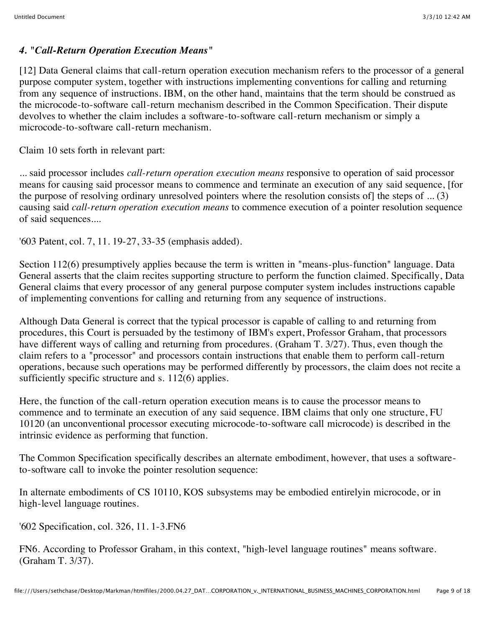#### *4. "Call-Return Operation Execution Means"*

[12] Data General claims that call-return operation execution mechanism refers to the processor of a general purpose computer system, together with instructions implementing conventions for calling and returning from any sequence of instructions. IBM, on the other hand, maintains that the term should be construed as the microcode-to-software call-return mechanism described in the Common Specification. Their dispute devolves to whether the claim includes a software-to-software call-return mechanism or simply a microcode-to-software call-return mechanism.

Claim 10 sets forth in relevant part:

... said processor includes *call-return operation execution means* responsive to operation of said processor means for causing said processor means to commence and terminate an execution of any said sequence, [for the purpose of resolving ordinary unresolved pointers where the resolution consists of] the steps of ... (3) causing said *call-return operation execution means* to commence execution of a pointer resolution sequence of said sequences....

'603 Patent, col. 7, 11. 19-27, 33-35 (emphasis added).

Section 112(6) presumptively applies because the term is written in "means-plus-function" language. Data General asserts that the claim recites supporting structure to perform the function claimed. Specifically, Data General claims that every processor of any general purpose computer system includes instructions capable of implementing conventions for calling and returning from any sequence of instructions.

Although Data General is correct that the typical processor is capable of calling to and returning from procedures, this Court is persuaded by the testimony of IBM's expert, Professor Graham, that processors have different ways of calling and returning from procedures. (Graham T. 3/27). Thus, even though the claim refers to a "processor" and processors contain instructions that enable them to perform call-return operations, because such operations may be performed differently by processors, the claim does not recite a sufficiently specific structure and s. 112(6) applies.

Here, the function of the call-return operation execution means is to cause the processor means to commence and to terminate an execution of any said sequence. IBM claims that only one structure, FU 10120 (an unconventional processor executing microcode-to-software call microcode) is described in the intrinsic evidence as performing that function.

The Common Specification specifically describes an alternate embodiment, however, that uses a softwareto-software call to invoke the pointer resolution sequence:

In alternate embodiments of CS 10110, KOS subsystems may be embodied entirelyin microcode, or in high-level language routines.

'602 Specification, col. 326, 11. 1-3.FN6

FN6. According to Professor Graham, in this context, "high-level language routines" means software. (Graham T. 3/37).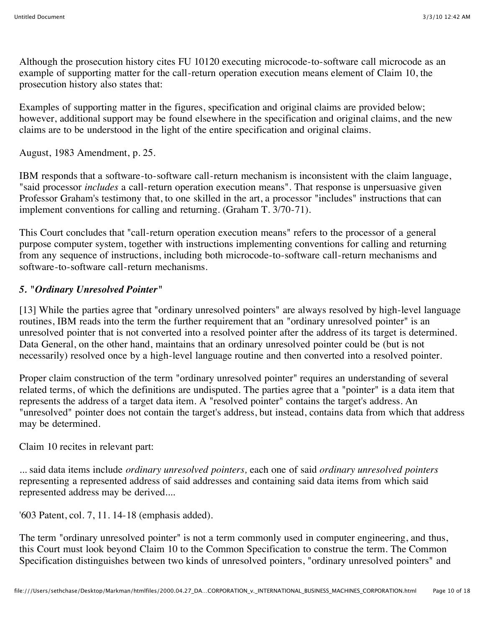Although the prosecution history cites FU 10120 executing microcode-to-software call microcode as an example of supporting matter for the call-return operation execution means element of Claim 10, the prosecution history also states that:

Examples of supporting matter in the figures, specification and original claims are provided below; however, additional support may be found elsewhere in the specification and original claims, and the new claims are to be understood in the light of the entire specification and original claims.

August, 1983 Amendment, p. 25.

IBM responds that a software-to-software call-return mechanism is inconsistent with the claim language, "said processor *includes* a call-return operation execution means". That response is unpersuasive given Professor Graham's testimony that, to one skilled in the art, a processor "includes" instructions that can implement conventions for calling and returning. (Graham T. 3/70-71).

This Court concludes that "call-return operation execution means" refers to the processor of a general purpose computer system, together with instructions implementing conventions for calling and returning from any sequence of instructions, including both microcode-to-software call-return mechanisms and software-to-software call-return mechanisms.

## *5. "Ordinary Unresolved Pointer"*

[13] While the parties agree that "ordinary unresolved pointers" are always resolved by high-level language routines, IBM reads into the term the further requirement that an "ordinary unresolved pointer" is an unresolved pointer that is not converted into a resolved pointer after the address of its target is determined. Data General, on the other hand, maintains that an ordinary unresolved pointer could be (but is not necessarily) resolved once by a high-level language routine and then converted into a resolved pointer.

Proper claim construction of the term "ordinary unresolved pointer" requires an understanding of several related terms, of which the definitions are undisputed. The parties agree that a "pointer" is a data item that represents the address of a target data item. A "resolved pointer" contains the target's address. An "unresolved" pointer does not contain the target's address, but instead, contains data from which that address may be determined.

Claim 10 recites in relevant part:

... said data items include *ordinary unresolved pointers,* each one of said *ordinary unresolved pointers* representing a represented address of said addresses and containing said data items from which said represented address may be derived....

'603 Patent, col. 7, 11. 14-18 (emphasis added).

The term "ordinary unresolved pointer" is not a term commonly used in computer engineering, and thus, this Court must look beyond Claim 10 to the Common Specification to construe the term. The Common Specification distinguishes between two kinds of unresolved pointers, "ordinary unresolved pointers" and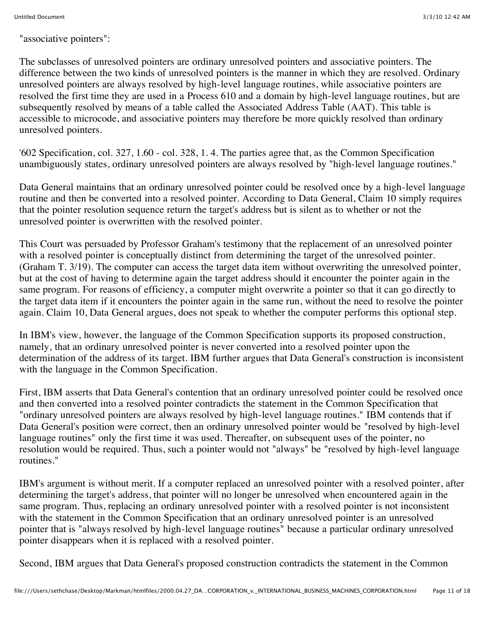"associative pointers":

The subclasses of unresolved pointers are ordinary unresolved pointers and associative pointers. The difference between the two kinds of unresolved pointers is the manner in which they are resolved. Ordinary unresolved pointers are always resolved by high-level language routines, while associative pointers are resolved the first time they are used in a Process 610 and a domain by high-level language routines, but are subsequently resolved by means of a table called the Associated Address Table (AAT). This table is accessible to microcode, and associative pointers may therefore be more quickly resolved than ordinary unresolved pointers.

'602 Specification, col. 327, 1.60 - col. 328, 1. 4. The parties agree that, as the Common Specification unambiguously states, ordinary unresolved pointers are always resolved by "high-level language routines."

Data General maintains that an ordinary unresolved pointer could be resolved once by a high-level language routine and then be converted into a resolved pointer. According to Data General, Claim 10 simply requires that the pointer resolution sequence return the target's address but is silent as to whether or not the unresolved pointer is overwritten with the resolved pointer.

This Court was persuaded by Professor Graham's testimony that the replacement of an unresolved pointer with a resolved pointer is conceptually distinct from determining the target of the unresolved pointer. (Graham T. 3/19). The computer can access the target data item without overwriting the unresolved pointer, but at the cost of having to determine again the target address should it encounter the pointer again in the same program. For reasons of efficiency, a computer might overwrite a pointer so that it can go directly to the target data item if it encounters the pointer again in the same run, without the need to resolve the pointer again. Claim 10, Data General argues, does not speak to whether the computer performs this optional step.

In IBM's view, however, the language of the Common Specification supports its proposed construction, namely, that an ordinary unresolved pointer is never converted into a resolved pointer upon the determination of the address of its target. IBM further argues that Data General's construction is inconsistent with the language in the Common Specification.

First, IBM asserts that Data General's contention that an ordinary unresolved pointer could be resolved once and then converted into a resolved pointer contradicts the statement in the Common Specification that "ordinary unresolved pointers are always resolved by high-level language routines." IBM contends that if Data General's position were correct, then an ordinary unresolved pointer would be "resolved by high-level language routines" only the first time it was used. Thereafter, on subsequent uses of the pointer, no resolution would be required. Thus, such a pointer would not "always" be "resolved by high-level language routines."

IBM's argument is without merit. If a computer replaced an unresolved pointer with a resolved pointer, after determining the target's address, that pointer will no longer be unresolved when encountered again in the same program. Thus, replacing an ordinary unresolved pointer with a resolved pointer is not inconsistent with the statement in the Common Specification that an ordinary unresolved pointer is an unresolved pointer that is "always resolved by high-level language routines" because a particular ordinary unresolved pointer disappears when it is replaced with a resolved pointer.

Second, IBM argues that Data General's proposed construction contradicts the statement in the Common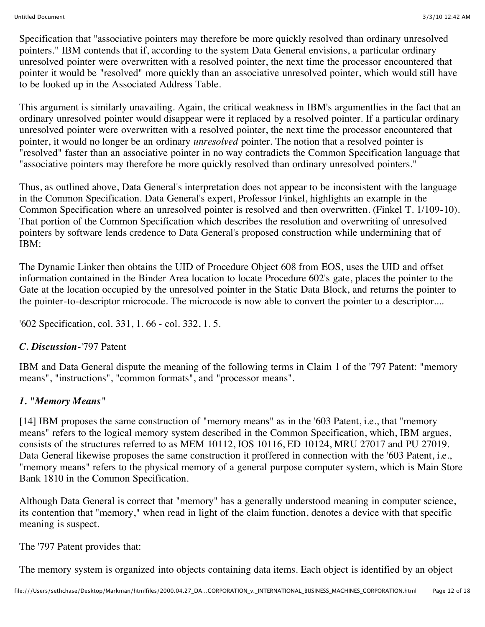Specification that "associative pointers may therefore be more quickly resolved than ordinary unresolved pointers." IBM contends that if, according to the system Data General envisions, a particular ordinary unresolved pointer were overwritten with a resolved pointer, the next time the processor encountered that pointer it would be "resolved" more quickly than an associative unresolved pointer, which would still have to be looked up in the Associated Address Table.

This argument is similarly unavailing. Again, the critical weakness in IBM's argumentlies in the fact that an ordinary unresolved pointer would disappear were it replaced by a resolved pointer. If a particular ordinary unresolved pointer were overwritten with a resolved pointer, the next time the processor encountered that pointer, it would no longer be an ordinary *unresolved* pointer. The notion that a resolved pointer is "resolved" faster than an associative pointer in no way contradicts the Common Specification language that "associative pointers may therefore be more quickly resolved than ordinary unresolved pointers."

Thus, as outlined above, Data General's interpretation does not appear to be inconsistent with the language in the Common Specification. Data General's expert, Professor Finkel, highlights an example in the Common Specification where an unresolved pointer is resolved and then overwritten. (Finkel T. 1/109-10). That portion of the Common Specification which describes the resolution and overwriting of unresolved pointers by software lends credence to Data General's proposed construction while undermining that of IBM:

The Dynamic Linker then obtains the UID of Procedure Object 608 from EOS, uses the UID and offset information contained in the Binder Area location to locate Procedure 602's gate, places the pointer to the Gate at the location occupied by the unresolved pointer in the Static Data Block, and returns the pointer to the pointer-to-descriptor microcode. The microcode is now able to convert the pointer to a descriptor....

'602 Specification, col. 331, 1. 66 - col. 332, 1. 5.

#### *C. Discussion-*'797 Patent

IBM and Data General dispute the meaning of the following terms in Claim 1 of the '797 Patent: "memory means", "instructions", "common formats", and "processor means".

#### *1. "Memory Means"*

[14] IBM proposes the same construction of "memory means" as in the '603 Patent, i.e., that "memory means" refers to the logical memory system described in the Common Specification, which, IBM argues, consists of the structures referred to as MEM 10112, IOS 10116, ED 10124, MRU 27017 and PU 27019. Data General likewise proposes the same construction it proffered in connection with the '603 Patent, i.e., "memory means" refers to the physical memory of a general purpose computer system, which is Main Store Bank 1810 in the Common Specification.

Although Data General is correct that "memory" has a generally understood meaning in computer science, its contention that "memory," when read in light of the claim function, denotes a device with that specific meaning is suspect.

The '797 Patent provides that:

The memory system is organized into objects containing data items. Each object is identified by an object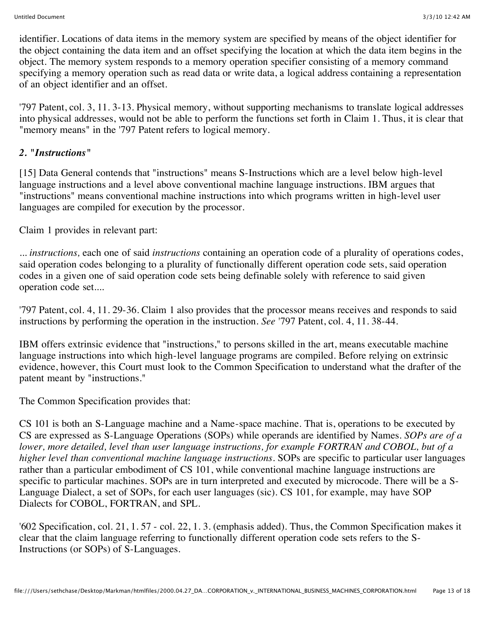identifier. Locations of data items in the memory system are specified by means of the object identifier for the object containing the data item and an offset specifying the location at which the data item begins in the object. The memory system responds to a memory operation specifier consisting of a memory command specifying a memory operation such as read data or write data, a logical address containing a representation of an object identifier and an offset.

'797 Patent, col. 3, 11. 3-13. Physical memory, without supporting mechanisms to translate logical addresses into physical addresses, would not be able to perform the functions set forth in Claim 1. Thus, it is clear that "memory means" in the '797 Patent refers to logical memory.

### *2. "Instructions"*

[15] Data General contends that "instructions" means S-Instructions which are a level below high-level language instructions and a level above conventional machine language instructions. IBM argues that "instructions" means conventional machine instructions into which programs written in high-level user languages are compiled for execution by the processor.

Claim 1 provides in relevant part:

... *instructions,* each one of said *instructions* containing an operation code of a plurality of operations codes, said operation codes belonging to a plurality of functionally different operation code sets, said operation codes in a given one of said operation code sets being definable solely with reference to said given operation code set....

'797 Patent, col. 4, 11. 29-36. Claim 1 also provides that the processor means receives and responds to said instructions by performing the operation in the instruction. *See* '797 Patent, col. 4, 11. 38-44.

IBM offers extrinsic evidence that "instructions," to persons skilled in the art, means executable machine language instructions into which high-level language programs are compiled. Before relying on extrinsic evidence, however, this Court must look to the Common Specification to understand what the drafter of the patent meant by "instructions."

The Common Specification provides that:

CS 101 is both an S-Language machine and a Name-space machine. That is, operations to be executed by CS are expressed as S-Language Operations (SOPs) while operands are identified by Names. *SOPs are of a lower, more detailed, level than user language instructions, for example FORTRAN and COBOL, but of a higher level than conventional machine language instructions.* SOPs are specific to particular user languages rather than a particular embodiment of CS 101, while conventional machine language instructions are specific to particular machines. SOPs are in turn interpreted and executed by microcode. There will be a S-Language Dialect, a set of SOPs, for each user languages (sic). CS 101, for example, may have SOP Dialects for COBOL, FORTRAN, and SPL.

'602 Specification, col. 21, 1. 57 - col. 22, 1. 3. (emphasis added). Thus, the Common Specification makes it clear that the claim language referring to functionally different operation code sets refers to the S-Instructions (or SOPs) of S-Languages.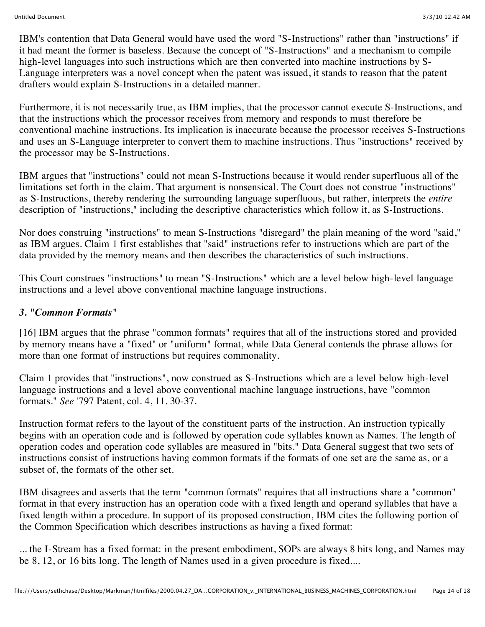IBM's contention that Data General would have used the word "S-Instructions" rather than "instructions" if it had meant the former is baseless. Because the concept of "S-Instructions" and a mechanism to compile high-level languages into such instructions which are then converted into machine instructions by S-Language interpreters was a novel concept when the patent was issued, it stands to reason that the patent drafters would explain S-Instructions in a detailed manner.

Furthermore, it is not necessarily true, as IBM implies, that the processor cannot execute S-Instructions, and that the instructions which the processor receives from memory and responds to must therefore be conventional machine instructions. Its implication is inaccurate because the processor receives S-Instructions and uses an S-Language interpreter to convert them to machine instructions. Thus "instructions" received by the processor may be S-Instructions.

IBM argues that "instructions" could not mean S-Instructions because it would render superfluous all of the limitations set forth in the claim. That argument is nonsensical. The Court does not construe "instructions" as S-Instructions, thereby rendering the surrounding language superfluous, but rather, interprets the *entire* description of "instructions," including the descriptive characteristics which follow it, as S-Instructions.

Nor does construing "instructions" to mean S-Instructions "disregard" the plain meaning of the word "said," as IBM argues. Claim 1 first establishes that "said" instructions refer to instructions which are part of the data provided by the memory means and then describes the characteristics of such instructions.

This Court construes "instructions" to mean "S-Instructions" which are a level below high-level language instructions and a level above conventional machine language instructions.

#### *3. "Common Formats"*

[16] IBM argues that the phrase "common formats" requires that all of the instructions stored and provided by memory means have a "fixed" or "uniform" format, while Data General contends the phrase allows for more than one format of instructions but requires commonality.

Claim 1 provides that "instructions", now construed as S-Instructions which are a level below high-level language instructions and a level above conventional machine language instructions, have "common formats." *See* '797 Patent, col. 4, 11. 30-37.

Instruction format refers to the layout of the constituent parts of the instruction. An instruction typically begins with an operation code and is followed by operation code syllables known as Names. The length of operation codes and operation code syllables are measured in "bits." Data General suggest that two sets of instructions consist of instructions having common formats if the formats of one set are the same as, or a subset of, the formats of the other set.

IBM disagrees and asserts that the term "common formats" requires that all instructions share a "common" format in that every instruction has an operation code with a fixed length and operand syllables that have a fixed length within a procedure. In support of its proposed construction, IBM cites the following portion of the Common Specification which describes instructions as having a fixed format:

... the I-Stream has a fixed format: in the present embodiment, SOPs are always 8 bits long, and Names may be 8, 12, or 16 bits long. The length of Names used in a given procedure is fixed....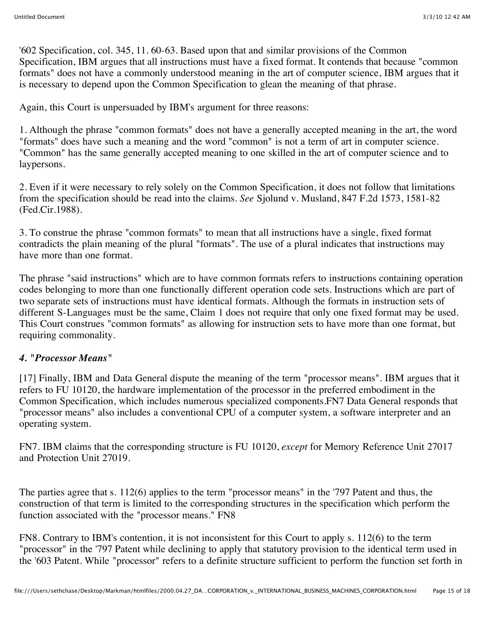'602 Specification, col. 345, 11. 60-63. Based upon that and similar provisions of the Common Specification, IBM argues that all instructions must have a fixed format. It contends that because "common formats" does not have a commonly understood meaning in the art of computer science, IBM argues that it is necessary to depend upon the Common Specification to glean the meaning of that phrase.

Again, this Court is unpersuaded by IBM's argument for three reasons:

1. Although the phrase "common formats" does not have a generally accepted meaning in the art, the word "formats" does have such a meaning and the word "common" is not a term of art in computer science. "Common" has the same generally accepted meaning to one skilled in the art of computer science and to laypersons.

2. Even if it were necessary to rely solely on the Common Specification, it does not follow that limitations from the specification should be read into the claims. *See* Sjolund v. Musland, 847 F.2d 1573, 1581-82 (Fed.Cir.1988).

3. To construe the phrase "common formats" to mean that all instructions have a single, fixed format contradicts the plain meaning of the plural "formats". The use of a plural indicates that instructions may have more than one format.

The phrase "said instructions" which are to have common formats refers to instructions containing operation codes belonging to more than one functionally different operation code sets. Instructions which are part of two separate sets of instructions must have identical formats. Although the formats in instruction sets of different S-Languages must be the same, Claim 1 does not require that only one fixed format may be used. This Court construes "common formats" as allowing for instruction sets to have more than one format, but requiring commonality.

## *4. "Processor Means"*

[17] Finally, IBM and Data General dispute the meaning of the term "processor means". IBM argues that it refers to FU 10120, the hardware implementation of the processor in the preferred embodiment in the Common Specification, which includes numerous specialized components.FN7 Data General responds that "processor means" also includes a conventional CPU of a computer system, a software interpreter and an operating system.

FN7. IBM claims that the corresponding structure is FU 10120, *except* for Memory Reference Unit 27017 and Protection Unit 27019.

The parties agree that s. 112(6) applies to the term "processor means" in the '797 Patent and thus, the construction of that term is limited to the corresponding structures in the specification which perform the function associated with the "processor means." FN8

FN8. Contrary to IBM's contention, it is not inconsistent for this Court to apply s. 112(6) to the term "processor" in the '797 Patent while declining to apply that statutory provision to the identical term used in the '603 Patent. While "processor" refers to a definite structure sufficient to perform the function set forth in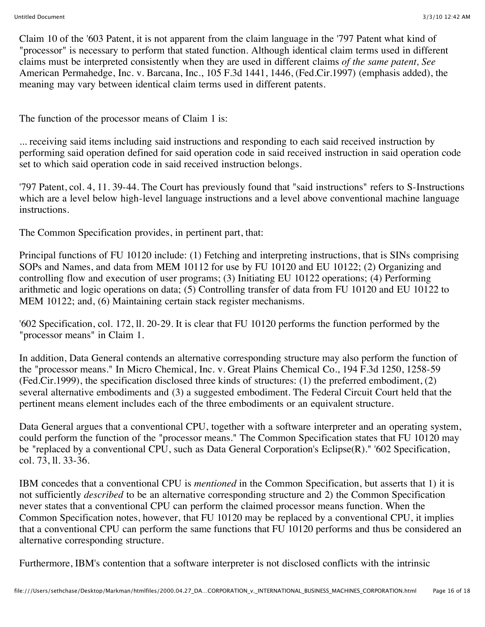Claim 10 of the '603 Patent, it is not apparent from the claim language in the '797 Patent what kind of "processor" is necessary to perform that stated function. Although identical claim terms used in different claims must be interpreted consistently when they are used in different claims *of the same patent, See* American Permahedge, Inc. v. Barcana, Inc., 105 F.3d 1441, 1446, (Fed.Cir.1997) (emphasis added), the meaning may vary between identical claim terms used in different patents.

The function of the processor means of Claim 1 is:

... receiving said items including said instructions and responding to each said received instruction by performing said operation defined for said operation code in said received instruction in said operation code set to which said operation code in said received instruction belongs.

'797 Patent, col. 4, 11. 39-44. The Court has previously found that "said instructions" refers to S-Instructions which are a level below high-level language instructions and a level above conventional machine language instructions.

The Common Specification provides, in pertinent part, that:

Principal functions of FU 10120 include: (1) Fetching and interpreting instructions, that is SINs comprising SOPs and Names, and data from MEM 10112 for use by FU 10120 and EU 10122; (2) Organizing and controlling flow and execution of user programs; (3) Initiating EU 10122 operations; (4) Performing arithmetic and logic operations on data; (5) Controlling transfer of data from FU 10120 and EU 10122 to MEM 10122; and, (6) Maintaining certain stack register mechanisms.

'602 Specification, col. 172, ll. 20-29. It is clear that FU 10120 performs the function performed by the "processor means" in Claim 1.

In addition, Data General contends an alternative corresponding structure may also perform the function of the "processor means." In Micro Chemical, Inc. v. Great Plains Chemical Co., 194 F.3d 1250, 1258-59 (Fed.Cir.1999), the specification disclosed three kinds of structures: (1) the preferred embodiment, (2) several alternative embodiments and (3) a suggested embodiment. The Federal Circuit Court held that the pertinent means element includes each of the three embodiments or an equivalent structure.

Data General argues that a conventional CPU, together with a software interpreter and an operating system, could perform the function of the "processor means." The Common Specification states that FU 10120 may be "replaced by a conventional CPU, such as Data General Corporation's Eclipse(R)." '602 Specification, col. 73, ll. 33-36.

IBM concedes that a conventional CPU is *mentioned* in the Common Specification, but asserts that 1) it is not sufficiently *described* to be an alternative corresponding structure and 2) the Common Specification never states that a conventional CPU can perform the claimed processor means function. When the Common Specification notes, however, that FU 10120 may be replaced by a conventional CPU, it implies that a conventional CPU can perform the same functions that FU 10120 performs and thus be considered an alternative corresponding structure.

Furthermore, IBM's contention that a software interpreter is not disclosed conflicts with the intrinsic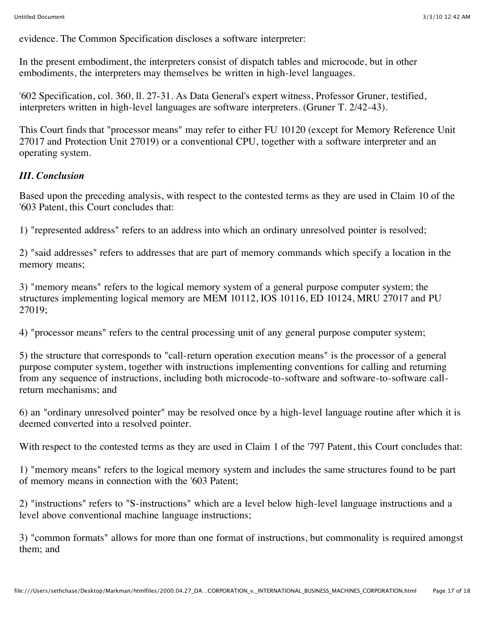evidence. The Common Specification discloses a software interpreter:

In the present embodiment, the interpreters consist of dispatch tables and microcode, but in other embodiments, the interpreters may themselves be written in high-level languages.

'602 Specification, col. 360, ll. 27-31. As Data General's expert witness, Professor Gruner, testified, interpreters written in high-level languages are software interpreters. (Gruner T. 2/42-43).

This Court finds that "processor means" may refer to either FU 10120 (except for Memory Reference Unit 27017 and Protection Unit 27019) or a conventional CPU, together with a software interpreter and an operating system.

#### *III. Conclusion*

Based upon the preceding analysis, with respect to the contested terms as they are used in Claim 10 of the '603 Patent, this Court concludes that:

1) "represented address" refers to an address into which an ordinary unresolved pointer is resolved;

2) "said addresses" refers to addresses that are part of memory commands which specify a location in the memory means;

3) "memory means" refers to the logical memory system of a general purpose computer system; the structures implementing logical memory are MEM 10112, IOS 10116, ED 10124, MRU 27017 and PU 27019;

4) "processor means" refers to the central processing unit of any general purpose computer system;

5) the structure that corresponds to "call-return operation execution means" is the processor of a general purpose computer system, together with instructions implementing conventions for calling and returning from any sequence of instructions, including both microcode-to-software and software-to-software callreturn mechanisms; and

6) an "ordinary unresolved pointer" may be resolved once by a high-level language routine after which it is deemed converted into a resolved pointer.

With respect to the contested terms as they are used in Claim 1 of the '797 Patent, this Court concludes that:

1) "memory means" refers to the logical memory system and includes the same structures found to be part of memory means in connection with the '603 Patent;

2) "instructions" refers to "S-instructions" which are a level below high-level language instructions and a level above conventional machine language instructions;

3) "common formats" allows for more than one format of instructions, but commonality is required amongst them; and